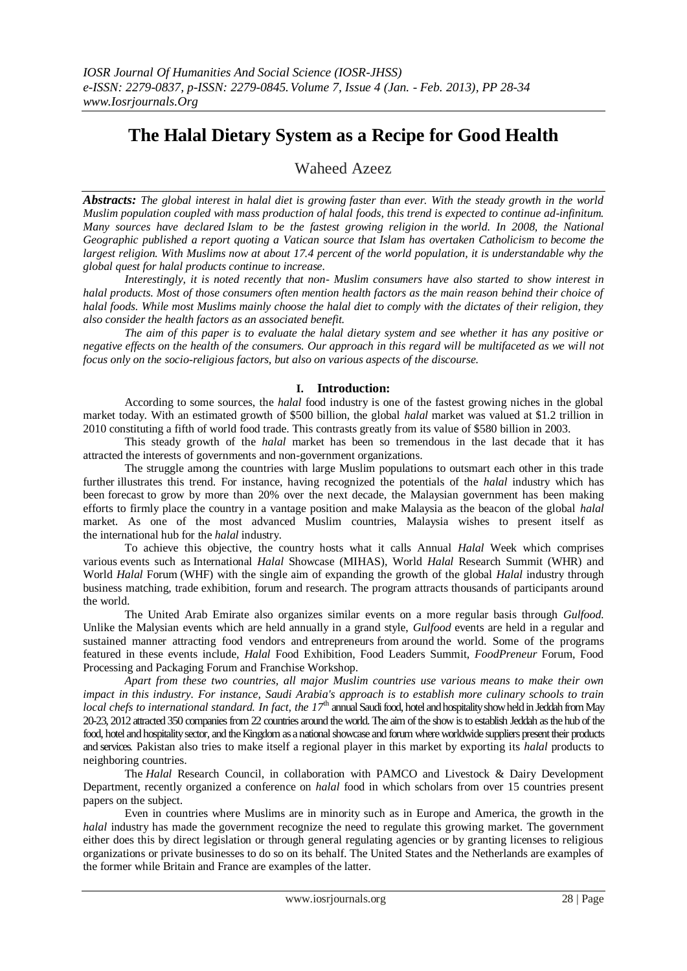# **The Halal Dietary System as a Recipe for Good Health**

# Waheed Azeez

*Abstracts: The global interest in halal diet is growing faster than ever. With the steady growth in the world Muslim population coupled with mass production of halal foods, this trend is expected to continue ad-infinitum. Many sources have declared Islam to be the fastest growing religion in the world. In 2008, the National Geographic published a report quoting a Vatican source that Islam has overtaken Catholicism to become the largest religion. With Muslims now at about 17.4 percent of the world population, it is understandable why the global quest for halal products continue to increase.*

*Interestingly, it is noted recently that non- Muslim consumers have also started to show interest in halal products. Most of those consumers often mention health factors as the main reason behind their choice of halal foods. While most Muslims mainly choose the halal diet to comply with the dictates of their religion, they also consider the health factors as an associated benefit.* 

*The aim of this paper is to evaluate the halal dietary system and see whether it has any positive or negative effects on the health of the consumers. Our approach in this regard will be multifaceted as we will not focus only on the socio-religious factors, but also on various aspects of the discourse.*

# **I. Introduction:**

According to some sources, the *halal* food industry is one of the fastest growing niches in the global market today. With an estimated growth of \$500 billion, the global *halal* market was valued at \$1.2 trillion in 2010 constituting a fifth of world food trade. This contrasts greatly from its value of \$580 billion in 2003.

This steady growth of the *halal* market has been so tremendous in the last decade that it has attracted the interests of governments and non-government organizations.

The struggle among the countries with large Muslim populations to outsmart each other in this trade further illustrates this trend. For instance, having recognized the potentials of the *halal* industry which has been forecast to grow by more than 20% over the next decade, the Malaysian government has been making efforts to firmly place the country in a vantage position and make Malaysia as the beacon of the global *halal* market. As one of the most advanced Muslim countries, Malaysia wishes to present itself as the international hub for the *halal* industry.

To achieve this objective, the country hosts what it calls Annual *Halal* Week which comprises various events such as International *Halal* Showcase (MIHAS), World *Halal* Research Summit (WHR) and World *Halal* Forum (WHF) with the single aim of expanding the growth of the global *Halal* industry through business matching, trade exhibition, forum and research. The program attracts thousands of participants around the world.

The United Arab Emirate also organizes similar events on a more regular basis through *Gulfood*. Unlike the Malysian events which are held annually in a grand style, *Gulfood* events are held in a regular and sustained manner attracting food vendors and entrepreneurs from around the world. Some of the programs featured in these events include, *Halal* Food Exhibition, Food Leaders Summit, *FoodPreneur* Forum, Food Processing and Packaging Forum and Franchise Workshop.

*Apart from these two countries, all major Muslim countries use various means to make their own impact in this industry. For instance, Saudi Arabia's approach is to establish more culinary schools to train local chefs to international standard. In fact, the 17*th annual Saudi food, hotel andhospitality show held in Jeddah from May 20-23, 2012 attracted 350 companies from 22 countries around the world. The aim of the show is to establish Jeddah as the hub of the food, hotel and hospitality sector, and the Kingdom as a national showcase and forum where worldwide suppliers present their products and services*.* Pakistan also tries to make itself a regional player in this market by exporting its *halal* products to neighboring countries.

The *Halal* Research Council, in collaboration with PAMCO and Livestock & Dairy Development Department, recently organized a conference on *halal* food in which scholars from over 15 countries present papers on the subject.

Even in countries where Muslims are in minority such as in Europe and America, the growth in the *halal* industry has made the government recognize the need to regulate this growing market. The government either does this by direct legislation or through general regulating agencies or by granting licenses to religious organizations or private businesses to do so on its behalf. The United States and the Netherlands are examples of the former while Britain and France are examples of the latter.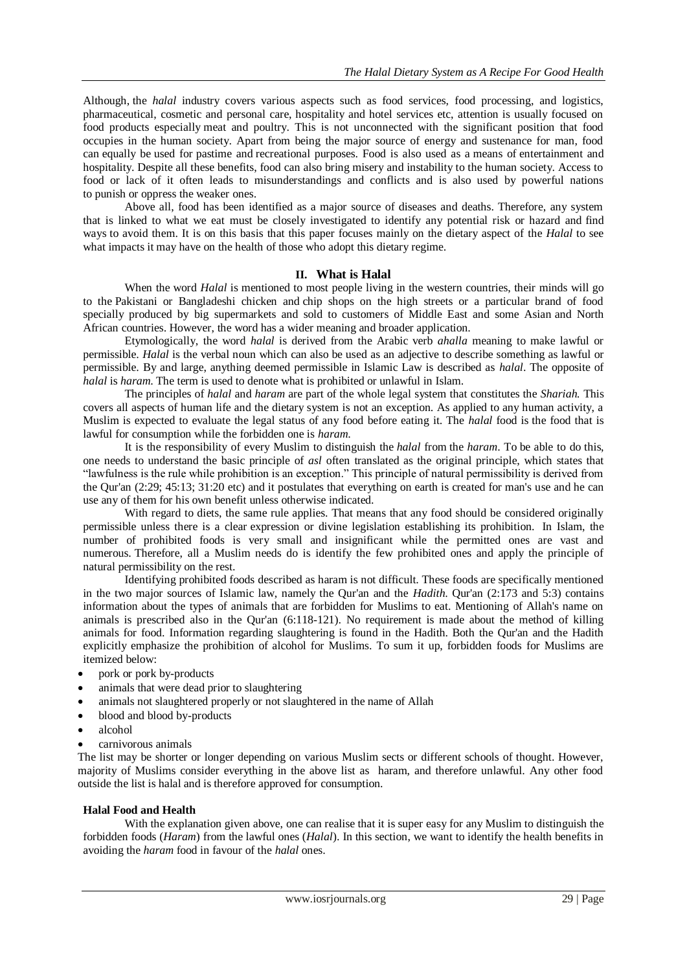Although, the *halal* industry covers various aspects such as food services, food processing, and logistics, pharmaceutical, cosmetic and personal care, hospitality and hotel services etc, attention is usually focused on food products especially meat and poultry. This is not unconnected with the significant position that food occupies in the human society. Apart from being the major source of energy and sustenance for man, food can equally be used for pastime and recreational purposes. Food is also used as a means of entertainment and hospitality. Despite all these benefits, food can also bring misery and instability to the human society. Access to food or lack of it often leads to misunderstandings and conflicts and is also used by powerful nations to punish or oppress the weaker ones.

Above all, food has been identified as a major source of diseases and deaths. Therefore, any system that is linked to what we eat must be closely investigated to identify any potential risk or hazard and find ways to avoid them. It is on this basis that this paper focuses mainly on the dietary aspect of the *Halal* to see what impacts it may have on the health of those who adopt this dietary regime.

# **II. What is Halal**

When the word *Halal* is mentioned to most people living in the western countries, their minds will go to the Pakistani or Bangladeshi chicken and chip shops on the high streets or a particular brand of food specially produced by big supermarkets and sold to customers of Middle East and some Asian and North African countries. However, the word has a wider meaning and broader application.

Etymologically, the word *halal* is derived from the Arabic verb *ahalla* meaning to make lawful or permissible. *Halal* is the verbal noun which can also be used as an adjective to describe something as lawful or permissible. By and large, anything deemed permissible in Islamic Law is described as *halal*. The opposite of *halal* is *haram*. The term is used to denote what is prohibited or unlawful in Islam.

The principles of *halal* and *haram* are part of the whole legal system that constitutes the *Shariah.* This covers all aspects of human life and the dietary system is not an exception. As applied to any human activity, a Muslim is expected to evaluate the legal status of any food before eating it. The *halal* food is the food that is lawful for consumption while the forbidden one is *haram*.

It is the responsibility of every Muslim to distinguish the *halal* from the *haram*. To be able to do this, one needs to understand the basic principle of *asl* often translated as the original principle, which states that "lawfulness is the rule while prohibition is an exception." This principle of natural permissibility is derived from the Qur'an (2:29; 45:13; 31:20 etc) and it postulates that everything on earth is created for man's use and he can use any of them for his own benefit unless otherwise indicated.

With regard to diets, the same rule applies. That means that any food should be considered originally permissible unless there is a clear expression or divine legislation establishing its prohibition. In Islam, the number of prohibited foods is very small and insignificant while the permitted ones are vast and numerous. Therefore, all a Muslim needs do is identify the few prohibited ones and apply the principle of natural permissibility on the rest.

Identifying prohibited foods described as haram is not difficult. These foods are specifically mentioned in the two major sources of Islamic law, namely the Qur'an and the *Hadith*. Qur'an (2:173 and 5:3) contains information about the types of animals that are forbidden for Muslims to eat. Mentioning of Allah's name on animals is prescribed also in the Qur'an (6:118-121). No requirement is made about the method of killing animals for food. Information regarding slaughtering is found in the Hadith. Both the Qur'an and the Hadith explicitly emphasize the prohibition of alcohol for Muslims. To sum it up, forbidden foods for Muslims are itemized below:

- pork or pork by-products
- animals that were dead prior to slaughtering
- animals not slaughtered properly or not slaughtered in the name of Allah
- blood and blood by-products
- alcohol
- carnivorous animals

The list may be shorter or longer depending on various Muslim sects or different schools of thought. However, majority of Muslims consider everything in the above list as haram, and therefore unlawful. Any other food outside the list is halal and is therefore approved for consumption.

#### **Halal Food and Health**

With the explanation given above, one can realise that it is super easy for any Muslim to distinguish the forbidden foods (*Haram*) from the lawful ones (*Halal*). In this section, we want to identify the health benefits in avoiding the *haram* food in favour of the *halal* ones.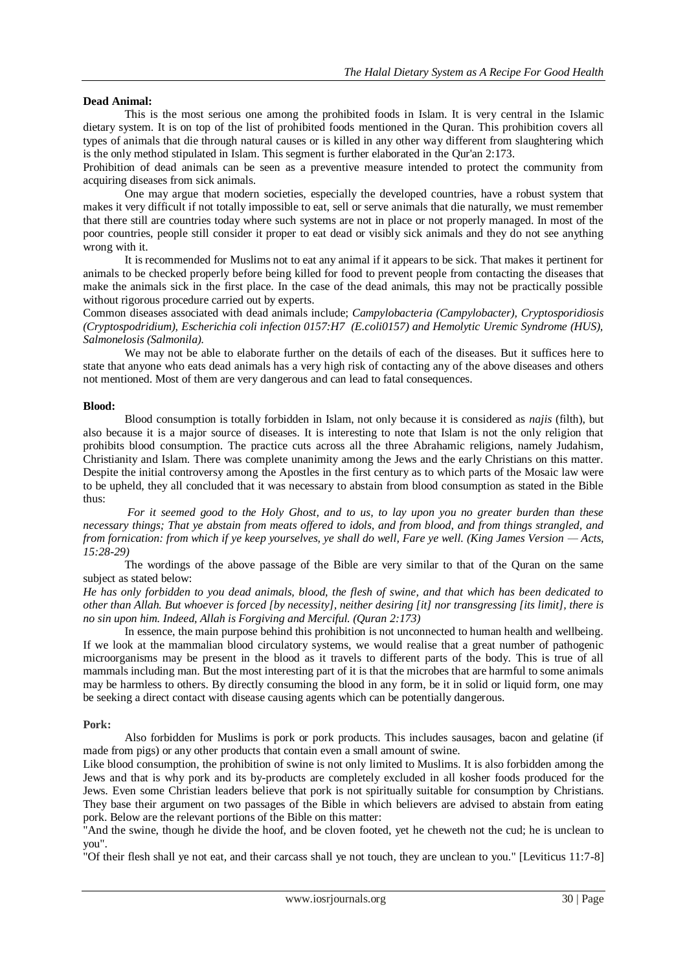# **Dead Animal:**

This is the most serious one among the prohibited foods in Islam. It is very central in the Islamic dietary system. It is on top of the list of prohibited foods mentioned in the Quran. This prohibition covers all types of animals that die through natural causes or is killed in any other way different from slaughtering which is the only method stipulated in Islam. This segment is further elaborated in the Qur'an 2:173.

Prohibition of dead animals can be seen as a preventive measure intended to protect the community from acquiring diseases from sick animals.

One may argue that modern societies, especially the developed countries, have a robust system that makes it very difficult if not totally impossible to eat, sell or serve animals that die naturally, we must remember that there still are countries today where such systems are not in place or not properly managed. In most of the poor countries, people still consider it proper to eat dead or visibly sick animals and they do not see anything wrong with it.

It is recommended for Muslims not to eat any animal if it appears to be sick. That makes it pertinent for animals to be checked properly before being killed for food to prevent people from contacting the diseases that make the animals sick in the first place. In the case of the dead animals, this may not be practically possible without rigorous procedure carried out by experts.

Common diseases associated with dead animals include; *Campylobacteria (Campylobacter), Cryptosporidiosis (Cryptospodridium), Escherichia coli infection 0157:H7 (E.coli0157) and Hemolytic Uremic Syndrome (HUS), Salmonelosis (Salmonila).*

We may not be able to elaborate further on the details of each of the diseases. But it suffices here to state that anyone who eats dead animals has a very high risk of contacting any of the above diseases and others not mentioned. Most of them are very dangerous and can lead to fatal consequences.

#### **Blood:**

Blood consumption is totally forbidden in Islam, not only because it is considered as *najis* (filth), but also because it is a major source of diseases. It is interesting to note that Islam is not the only religion that prohibits blood consumption. The practice cuts across all the three Abrahamic religions, namely Judahism, Christianity and Islam. There was complete unanimity among the Jews and the early Christians on this matter. Despite the initial controversy among the Apostles in the first century as to which parts of the Mosaic law were to be upheld, they all concluded that it was necessary to abstain from blood consumption as stated in the Bible thus:

*For it seemed good to the Holy Ghost, and to us, to lay upon you no greater burden than these necessary things; That ye abstain from meats offered to idols, and from blood, and from things strangled, and from fornication: from which if ye keep yourselves, ye shall do well, Fare ye well. (King James Version — Acts, 15:28-29)*

The wordings of the above passage of the Bible are very similar to that of the Quran on the same subject as stated below:

*He has only forbidden to you dead animals, blood, the flesh of swine, and that which has been dedicated to other than Allah. But whoever is forced [by necessity], neither desiring [it] nor transgressing [its limit], there is no sin upon him. Indeed, Allah is Forgiving and Merciful. (Quran 2:173)*

In essence, the main purpose behind this prohibition is not unconnected to human health and wellbeing. If we look at the mammalian blood circulatory systems, we would realise that a great number of pathogenic microorganisms may be present in the blood as it travels to different parts of the body. This is true of all mammals including man. But the most interesting part of it is that the microbes that are harmful to some animals may be harmless to others. By directly consuming the blood in any form, be it in solid or liquid form, one may be seeking a direct contact with disease causing agents which can be potentially dangerous.

#### **Pork:**

Also forbidden for Muslims is pork or pork products. This includes sausages, bacon and gelatine (if made from pigs) or any other products that contain even a small amount of swine.

Like blood consumption, the prohibition of swine is not only limited to Muslims. It is also forbidden among the Jews and that is why pork and its by-products are completely excluded in all kosher foods produced for the Jews. Even some Christian leaders believe that pork is not spiritually suitable for consumption by Christians. They base their argument on two passages of the Bible in which believers are advised to abstain from eating pork. Below are the relevant portions of the Bible on this matter:

"And the swine, though he divide the hoof, and be cloven footed, yet he cheweth not the cud; he is unclean to you".

"Of their flesh shall ye not eat, and their carcass shall ye not touch, they are unclean to you." [Leviticus 11:7-8]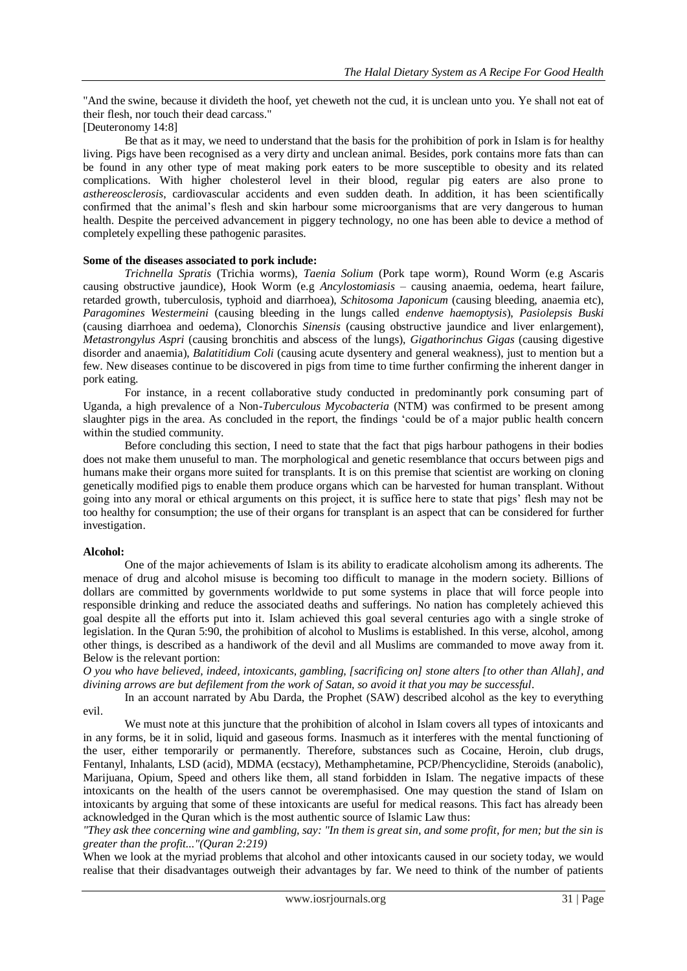"And the swine, because it divideth the hoof, yet cheweth not the cud, it is unclean unto you. Ye shall not eat of their flesh, nor touch their dead carcass."

[Deuteronomy 14:8]

Be that as it may, we need to understand that the basis for the prohibition of pork in Islam is for healthy living. Pigs have been recognised as a very dirty and unclean animal. Besides, pork contains more fats than can be found in any other type of meat making pork eaters to be more susceptible to obesity and its related complications. With higher cholesterol level in their blood, regular pig eaters are also prone to *asthereosclerosis*, cardiovascular accidents and even sudden death. In addition, it has been scientifically confirmed that the animal"s flesh and skin harbour some microorganisms that are very dangerous to human health. Despite the perceived advancement in piggery technology, no one has been able to device a method of completely expelling these pathogenic parasites.

#### **Some of the diseases associated to pork include:**

*Trichnella Spratis* (Trichia worms), *Taenia Solium* (Pork tape worm), Round Worm (e.g Ascaris causing obstructive jaundice), Hook Worm (e.g *Ancylostomiasis* – causing anaemia, oedema, heart failure, retarded growth, tuberculosis, typhoid and diarrhoea), *Schitosoma Japonicum* (causing bleeding, anaemia etc), *Paragomines Westermeini* (causing bleeding in the lungs called *endenve haemoptysis*), *Pasiolepsis Buski*  (causing diarrhoea and oedema), Clonorchis *Sinensis* (causing obstructive jaundice and liver enlargement), *Metastrongylus Aspri* (causing bronchitis and abscess of the lungs), *Gigathorinchus Gigas* (causing digestive disorder and anaemia), *Balatitidium Coli* (causing acute dysentery and general weakness), just to mention but a few. New diseases continue to be discovered in pigs from time to time further confirming the inherent danger in pork eating.

For instance, in a recent collaborative study conducted in predominantly pork consuming part of Uganda, a high prevalence of a Non-*Tuberculous Mycobacteria* (NTM) was confirmed to be present among slaughter pigs in the area. As concluded in the report, the findings "could be of a major public health concern within the studied community.

Before concluding this section, I need to state that the fact that pigs harbour pathogens in their bodies does not make them unuseful to man. The morphological and genetic resemblance that occurs between pigs and humans make their organs more suited for transplants. It is on this premise that scientist are working on cloning genetically modified pigs to enable them produce organs which can be harvested for human transplant. Without going into any moral or ethical arguments on this project, it is suffice here to state that pigs" flesh may not be too healthy for consumption; the use of their organs for transplant is an aspect that can be considered for further investigation.

#### **Alcohol:**

One of the major achievements of Islam is its ability to eradicate alcoholism among its adherents. The menace of drug and alcohol misuse is becoming too difficult to manage in the modern society. Billions of dollars are committed by governments worldwide to put some systems in place that will force people into responsible drinking and reduce the associated deaths and sufferings. No nation has completely achieved this goal despite all the efforts put into it. Islam achieved this goal several centuries ago with a single stroke of legislation. In the Quran 5:90, the prohibition of alcohol to Muslims is established. In this verse, alcohol, among other things, is described as a handiwork of the devil and all Muslims are commanded to move away from it. Below is the relevant portion:

*O you who have believed, indeed, intoxicants, gambling, [sacrificing on] stone alters [to other than Allah], and divining arrows are but defilement from the work of Satan, so avoid it that you may be successful.*

In an account narrated by Abu Darda, the Prophet (SAW) described alcohol as the key to everything evil.

We must note at this juncture that the prohibition of alcohol in Islam covers all types of intoxicants and in any forms, be it in solid, liquid and gaseous forms. Inasmuch as it interferes with the mental functioning of the user, either temporarily or permanently. Therefore, substances such as Cocaine, Heroin, club drugs, Fentanyl, Inhalants, LSD (acid), MDMA (ecstacy), Methamphetamine, PCP/Phencyclidine, Steroids (anabolic), Marijuana, Opium, Speed and others like them, all stand forbidden in Islam. The negative impacts of these intoxicants on the health of the users cannot be overemphasised. One may question the stand of Islam on intoxicants by arguing that some of these intoxicants are useful for medical reasons. This fact has already been acknowledged in the Quran which is the most authentic source of Islamic Law thus:

*"They ask thee concerning wine and gambling, say: "In them is great sin, and some profit, for men; but the sin is greater than the profit..."(Quran 2:219)*

When we look at the myriad problems that alcohol and other intoxicants caused in our society today, we would realise that their disadvantages outweigh their advantages by far. We need to think of the number of patients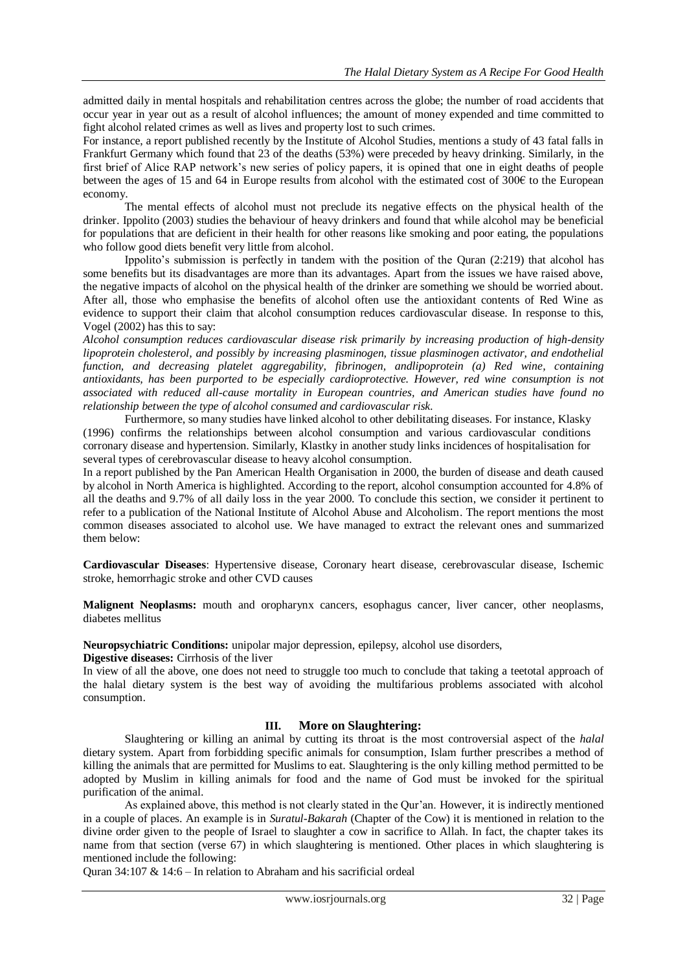admitted daily in mental hospitals and rehabilitation centres across the globe; the number of road accidents that occur year in year out as a result of alcohol influences; the amount of money expended and time committed to fight alcohol related crimes as well as lives and property lost to such crimes.

For instance, a report published recently by the Institute of Alcohol Studies, mentions a study of 43 fatal falls in Frankfurt Germany which found that 23 of the deaths (53%) were preceded by heavy drinking. Similarly, in the first brief of Alice RAP network"s new series of policy papers, it is opined that one in eight deaths of people between the ages of 15 and 64 in Europe results from alcohol with the estimated cost of 300€ to the European economy.

The mental effects of alcohol must not preclude its negative effects on the physical health of the drinker. Ippolito (2003) studies the behaviour of heavy drinkers and found that while alcohol may be beneficial for populations that are deficient in their health for other reasons like smoking and poor eating, the populations who follow good diets benefit very little from alcohol.

Ippolito"s submission is perfectly in tandem with the position of the Quran (2:219) that alcohol has some benefits but its disadvantages are more than its advantages. Apart from the issues we have raised above, the negative impacts of alcohol on the physical health of the drinker are something we should be worried about. After all, those who emphasise the benefits of alcohol often use the antioxidant contents of Red Wine as evidence to support their claim that alcohol consumption reduces cardiovascular disease. In response to this, Vogel (2002) has this to say:

*Alcohol consumption reduces cardiovascular disease risk primarily by increasing production of high-density lipoprotein cholesterol, and possibly by increasing plasminogen, tissue plasminogen activator, and endothelial function, and decreasing platelet aggregability, fibrinogen, andlipoprotein (a) Red wine, containing antioxidants, has been purported to be especially cardioprotective. However, red wine consumption is not associated with reduced all-cause mortality in European countries, and American studies have found no relationship between the type of alcohol consumed and cardiovascular risk.*

Furthermore, so many studies have linked alcohol to other debilitating diseases. For instance, Klasky (1996) confirms the relationships between alcohol consumption and various cardiovascular conditions corronary disease and hypertension. Similarly, Klastky in another study links incidences of hospitalisation for several types of cerebrovascular disease to heavy alcohol consumption.

In a report published by the Pan American Health Organisation in 2000, the burden of disease and death caused by alcohol in North America is highlighted. According to the report, alcohol consumption accounted for 4.8% of all the deaths and 9.7% of all daily loss in the year 2000. To conclude this section, we consider it pertinent to refer to a publication of the National Institute of Alcohol Abuse and Alcoholism. The report mentions the most common diseases associated to alcohol use. We have managed to extract the relevant ones and summarized them below:

**Cardiovascular Diseases**: Hypertensive disease, Coronary heart disease, cerebrovascular disease, Ischemic stroke, hemorrhagic stroke and other CVD causes

**Malignent Neoplasms:** mouth and oropharynx cancers, esophagus cancer, liver cancer, other neoplasms, diabetes mellitus

**Neuropsychiatric Conditions:** unipolar major depression, epilepsy, alcohol use disorders,

**Digestive diseases:** Cirrhosis of the liver

In view of all the above, one does not need to struggle too much to conclude that taking a teetotal approach of the halal dietary system is the best way of avoiding the multifarious problems associated with alcohol consumption.

# **III. More on Slaughtering:**

Slaughtering or killing an animal by cutting its throat is the most controversial aspect of the *halal* dietary system. Apart from forbidding specific animals for consumption, Islam further prescribes a method of killing the animals that are permitted for Muslims to eat. Slaughtering is the only killing method permitted to be adopted by Muslim in killing animals for food and the name of God must be invoked for the spiritual purification of the animal.

As explained above, this method is not clearly stated in the Qur"an. However, it is indirectly mentioned in a couple of places. An example is in *Suratul-Bakarah* (Chapter of the Cow) it is mentioned in relation to the divine order given to the people of Israel to slaughter a cow in sacrifice to Allah. In fact, the chapter takes its name from that section (verse 67) in which slaughtering is mentioned. Other places in which slaughtering is mentioned include the following:

Quran 34:107 & 14:6 – In relation to Abraham and his sacrificial ordeal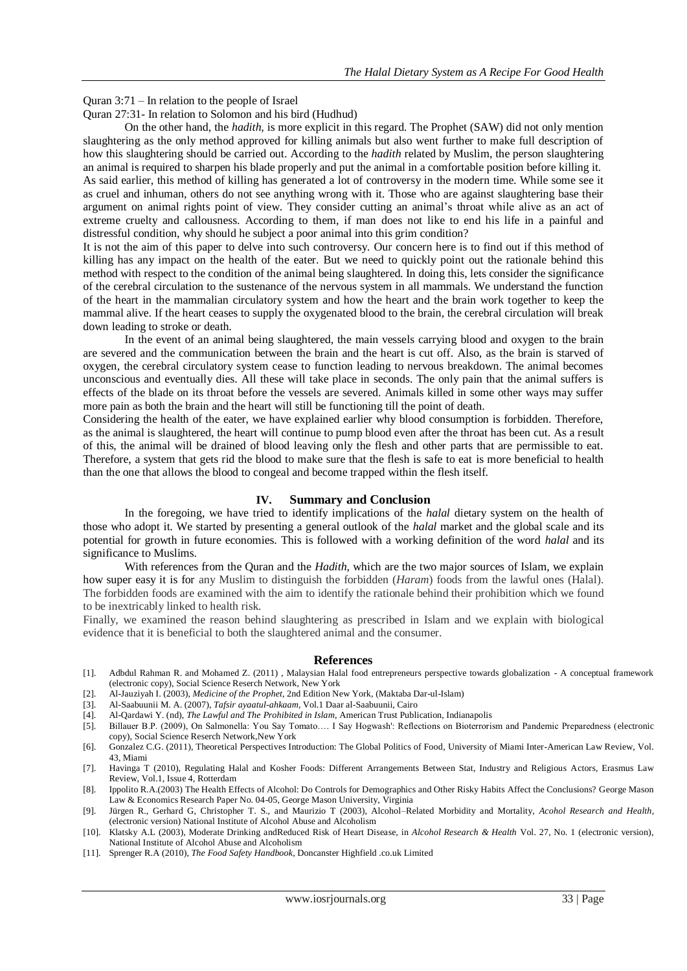Quran 3:71 – In relation to the people of Israel

Quran 27:31- In relation to Solomon and his bird (Hudhud)

On the other hand, the *hadith,* is more explicit in this regard. The Prophet (SAW) did not only mention slaughtering as the only method approved for killing animals but also went further to make full description of how this slaughtering should be carried out. According to the *hadith* related by Muslim, the person slaughtering an animal is required to sharpen his blade properly and put the animal in a comfortable position before killing it. As said earlier, this method of killing has generated a lot of controversy in the modern time. While some see it as cruel and inhuman, others do not see anything wrong with it. Those who are against slaughtering base their argument on animal rights point of view. They consider cutting an animal"s throat while alive as an act of extreme cruelty and callousness. According to them, if man does not like to end his life in a painful and distressful condition, why should he subject a poor animal into this grim condition?

It is not the aim of this paper to delve into such controversy. Our concern here is to find out if this method of killing has any impact on the health of the eater. But we need to quickly point out the rationale behind this method with respect to the condition of the animal being slaughtered. In doing this, lets consider the significance of the cerebral circulation to the sustenance of the nervous system in all mammals. We understand the function of the heart in the mammalian circulatory system and how the heart and the brain work together to keep the mammal alive. If the heart ceases to supply the oxygenated blood to the brain, the cerebral circulation will break down leading to stroke or death.

In the event of an animal being slaughtered, the main vessels carrying blood and oxygen to the brain are severed and the communication between the brain and the heart is cut off. Also, as the brain is starved of oxygen, the cerebral circulatory system cease to function leading to nervous breakdown. The animal becomes unconscious and eventually dies. All these will take place in seconds. The only pain that the animal suffers is effects of the blade on its throat before the vessels are severed. Animals killed in some other ways may suffer more pain as both the brain and the heart will still be functioning till the point of death.

Considering the health of the eater, we have explained earlier why blood consumption is forbidden. Therefore, as the animal is slaughtered, the heart will continue to pump blood even after the throat has been cut. As a result of this, the animal will be drained of blood leaving only the flesh and other parts that are permissible to eat. Therefore, a system that gets rid the blood to make sure that the flesh is safe to eat is more beneficial to health than the one that allows the blood to congeal and become trapped within the flesh itself.

#### **IV. Summary and Conclusion**

In the foregoing, we have tried to identify implications of the *halal* dietary system on the health of those who adopt it. We started by presenting a general outlook of the *halal* market and the global scale and its potential for growth in future economies. This is followed with a working definition of the word *halal* and its significance to Muslims.

With references from the Quran and the *Hadith*, which are the two major sources of Islam, we explain how super easy it is for any Muslim to distinguish the forbidden (*Haram*) foods from the lawful ones (Halal). The forbidden foods are examined with the aim to identify the rationale behind their prohibition which we found to be inextricably linked to health risk.

Finally, we examined the reason behind slaughtering as prescribed in Islam and we explain with biological evidence that it is beneficial to both the slaughtered animal and the consumer.

#### **References**

- [1]. Adbdul Rahman R. and Mohamed Z. (2011) , Malaysian Halal food entrepreneurs perspective towards globalization A conceptual framework (electronic copy), Social Science Reserch Network, New York
- [2]. Al-Jauziyah I. (2003), *Medicine of the Prophet,* 2nd Edition New York, (Maktaba Dar-ul-Islam)
- [3]. Al-Saabuunii M. A. (2007), *Tafsir ayaatul-ahkaam,* Vol.1 Daar al-Saabuunii, Cairo
- [4]. Al-Qardawi Y. (nd), *The Lawful and The Prohibited in Islam*, American Trust Publication, Indianapolis
- [5]. Billauer B.P. (2009), On Salmonella: You Say Tomato…. I Say Hogwash': Reflections on Bioterrorism and Pandemic Preparedness (electronic copy), Social Science Reserch Network,New York
- [6]. Gonzalez C.G. (2011), Theoretical Perspectives Introduction: The Global Politics of Food*,* University of Miami Inter-American Law Review, Vol. 43, Miami
- [7]. Havinga T (2010), Regulating Halal and Kosher Foods: Different Arrangements Between Stat, Industry and Religious Actors, Erasmus Law Review, Vol.1, Issue 4, Rotterdam
- [8]. Ippolito R.A.(2003) The Health Effects of Alcohol: Do Controls for Demographics and Other Risky Habits Affect the Conclusions? George Mason Law & Economics Research Paper No. 04-05, George Mason University, Virginia
- [9]. Jürgen R., Gerhard G, Christopher T. S., and Maurizio T (2003), Alcohol–Related Morbidity and Mortality, *Acohol Research and Health*, (electronic version) National Institute of Alcohol Abuse and Alcoholism
- [10]. Klatsky A.L (2003), Moderate Drinking andReduced Risk of Heart Disease, in *Alcohol Research & Health* Vol. 27, No. 1 (electronic version), National Institute of Alcohol Abuse and Alcoholism
- [11]. Sprenger R.A (2010), *The Food Safety Handbook,* Doncanster Highfield .co.uk Limited